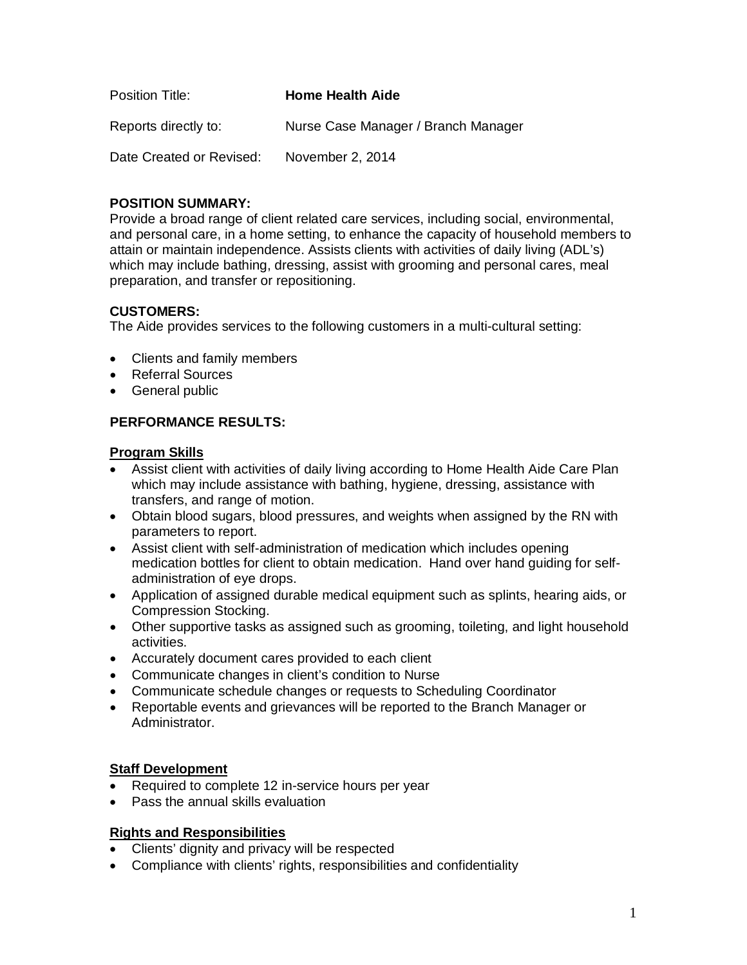| Position Title:          | <b>Home Health Aide</b>             |
|--------------------------|-------------------------------------|
| Reports directly to:     | Nurse Case Manager / Branch Manager |
| Date Created or Revised: | November 2, 2014                    |

## **POSITION SUMMARY:**

Provide a broad range of client related care services, including social, environmental, and personal care, in a home setting, to enhance the capacity of household members to attain or maintain independence. Assists clients with activities of daily living (ADL's) which may include bathing, dressing, assist with grooming and personal cares, meal preparation, and transfer or repositioning.

# **CUSTOMERS:**

The Aide provides services to the following customers in a multi-cultural setting:

- Clients and family members
- Referral Sources
- General public

### **PERFORMANCE RESULTS:**

#### **Program Skills**

- Assist client with activities of daily living according to Home Health Aide Care Plan which may include assistance with bathing, hygiene, dressing, assistance with transfers, and range of motion.
- Obtain blood sugars, blood pressures, and weights when assigned by the RN with parameters to report.
- Assist client with self-administration of medication which includes opening medication bottles for client to obtain medication. Hand over hand guiding for selfadministration of eye drops.
- Application of assigned durable medical equipment such as splints, hearing aids, or Compression Stocking.
- Other supportive tasks as assigned such as grooming, toileting, and light household activities.
- Accurately document cares provided to each client
- Communicate changes in client's condition to Nurse
- Communicate schedule changes or requests to Scheduling Coordinator
- Reportable events and grievances will be reported to the Branch Manager or Administrator.

#### **Staff Development**

- Required to complete 12 in-service hours per year
- Pass the annual skills evaluation

#### **Rights and Responsibilities**

- Clients' dignity and privacy will be respected
- Compliance with clients' rights, responsibilities and confidentiality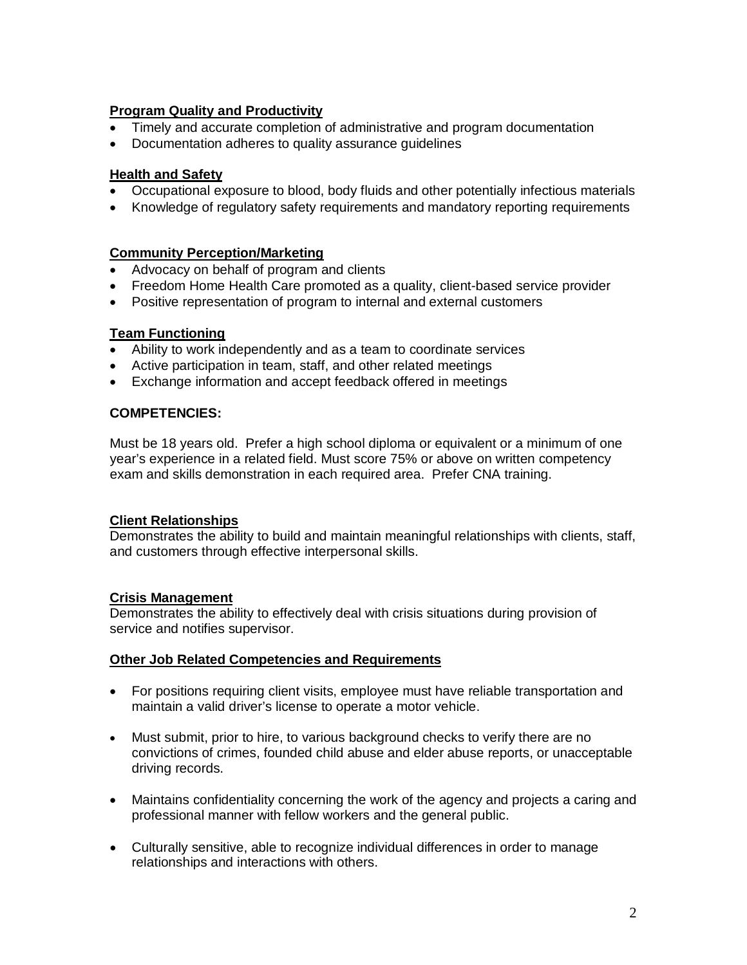### **Program Quality and Productivity**

- Timely and accurate completion of administrative and program documentation
- Documentation adheres to quality assurance guidelines

### **Health and Safety**

- Occupational exposure to blood, body fluids and other potentially infectious materials
- Knowledge of regulatory safety requirements and mandatory reporting requirements

#### **Community Perception/Marketing**

- Advocacy on behalf of program and clients
- Freedom Home Health Care promoted as a quality, client-based service provider
- Positive representation of program to internal and external customers

#### **Team Functioning**

- Ability to work independently and as a team to coordinate services
- Active participation in team, staff, and other related meetings
- Exchange information and accept feedback offered in meetings

### **COMPETENCIES:**

Must be 18 years old. Prefer a high school diploma or equivalent or a minimum of one year's experience in a related field. Must score 75% or above on written competency exam and skills demonstration in each required area. Prefer CNA training.

#### **Client Relationships**

Demonstrates the ability to build and maintain meaningful relationships with clients, staff, and customers through effective interpersonal skills.

# **Crisis Management**

Demonstrates the ability to effectively deal with crisis situations during provision of service and notifies supervisor.

#### **Other Job Related Competencies and Requirements**

- For positions requiring client visits, employee must have reliable transportation and maintain a valid driver's license to operate a motor vehicle.
- Must submit, prior to hire, to various background checks to verify there are no convictions of crimes, founded child abuse and elder abuse reports, or unacceptable driving records.
- Maintains confidentiality concerning the work of the agency and projects a caring and professional manner with fellow workers and the general public.
- Culturally sensitive, able to recognize individual differences in order to manage relationships and interactions with others.